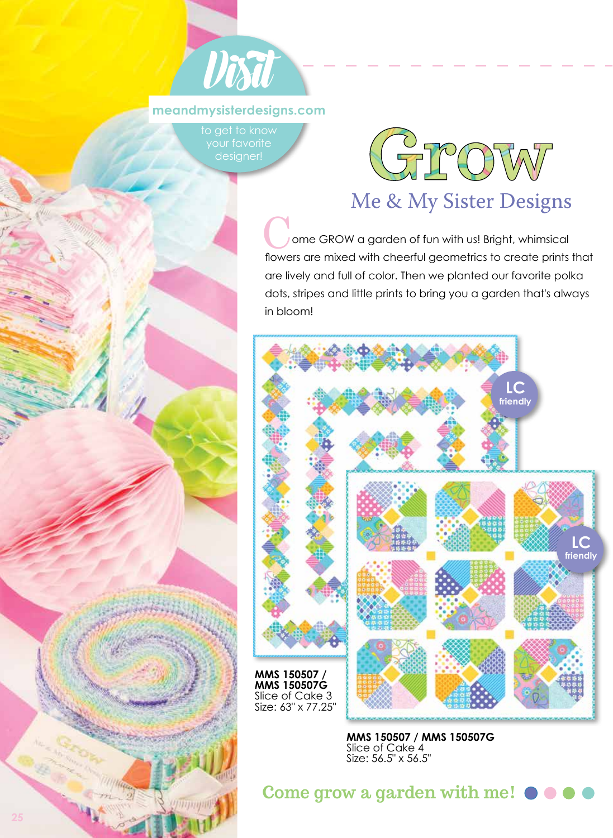

#### **meandmysisterdesigns.com**

to get to know designer!



## Me & My Sister Designs

 ome GROW a garden of fun with us! Bright, whimsical ome GROW a garden of fun with us! Bright, whimsical<br>flowers are mixed with cheerful geometrics to create prints that are lively and full of color. Then we planted our favorite polka dots, stripes and little prints to bring you a garden that's always in bloom!



**MMS 150507 / MMS 150507G**  Slice of Cake 4 Size: 56.5" x 56.5"

**Come grow a garden with me!** 

**COLLEGE STORE** 

Wing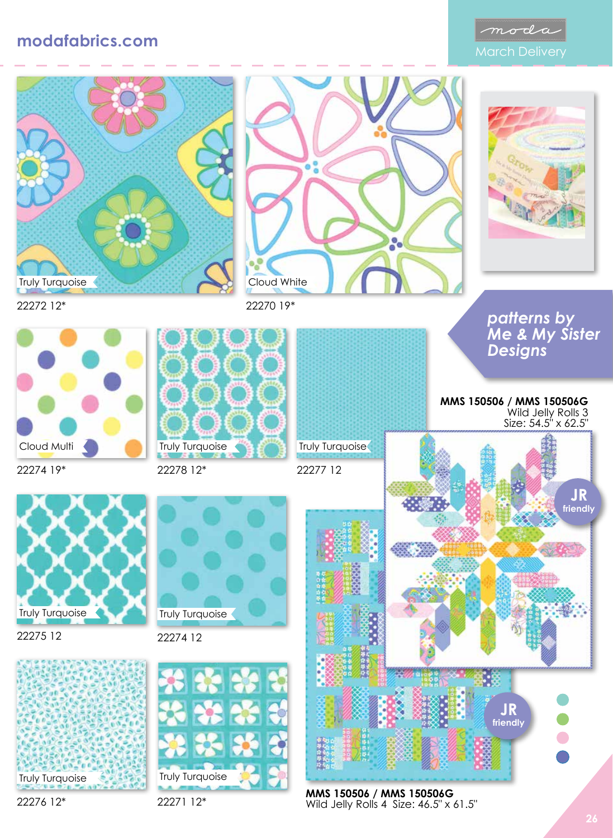### **modafabrics.com**









22274 19\*



22275 12





22278 12\*



22270 19\*

Cloud White

22277 12



#### *patterns by Me & My Sister Designs*

**MMS 150506 / MMS 150506G**  Wild Jelly Rolls 3 Size: 54.5" x 62.5"



**MMS 150506 / MMS 150506G**  Wild Jelly Rolls 4 Size: 46.5" x 61.5"

8

22276 12\*



22274 12

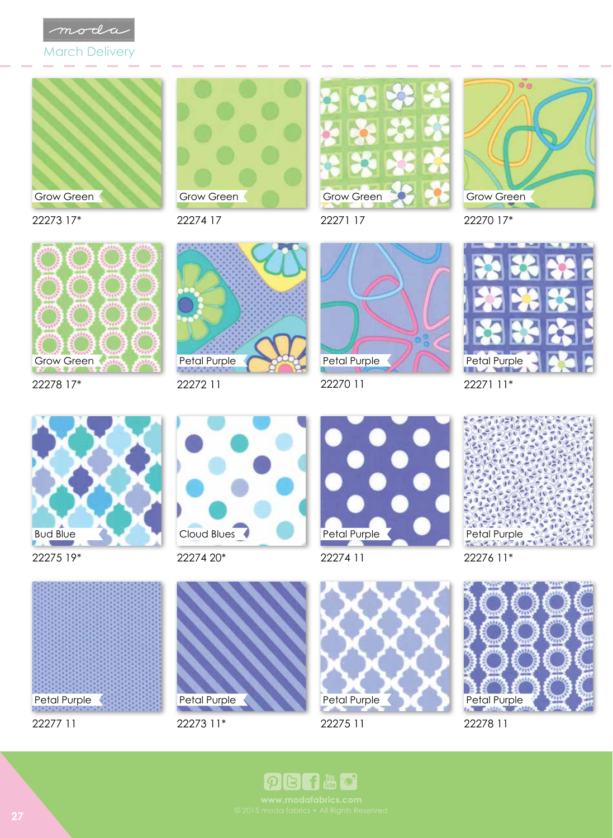

March Delivery



22273 17\*

22274 17 Grow Green



22271 17



22270 17\*



22278 17\*



22272 11



22270 11





22275 19\*



22274 20\*



22274 11



Petal Purple

22277 11



22273 11\*



22275 11

22276 11\*



22278 11